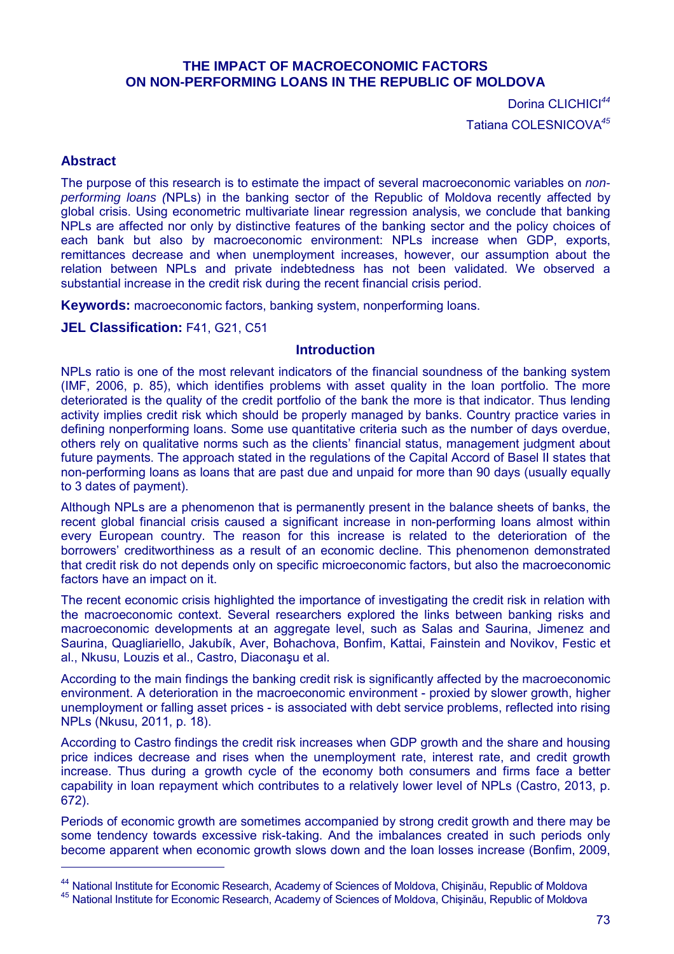# **THE IMPACT OF MACROECONOMIC FACTORS ON NON-PERFORMING LOANS IN THE REPUBLIC OF MOLDOVA**

Dorina CLICHICI*<sup>44</sup>* Tatiana COLESNICOVA*<sup>45</sup>*

# **Abstract**

 $\overline{a}$ 

The purpose of this research is to estimate the impact of several macroeconomic variables on *nonperforming loans (*NPLs) in the banking sector of the Republic of Moldova recently affected by global crisis. Using econometric multivariate linear regression analysis, we conclude that banking NPLs are affected nor only by distinctive features of the banking sector and the policy choices of each bank but also by macroeconomic environment: NPLs increase when GDP, exports, remittances decrease and when unemployment increases, however, our assumption about the relation between NPLs and private indebtedness has not been validated. We observed a substantial increase in the credit risk during the recent financial crisis period.

**Keywords:** macroeconomic factors, banking system, nonperforming loans.

**JEL Classification:** F41, G21, C51

# **Introduction**

NPLs ratio is one of the most relevant indicators of the financial soundness of the banking system (IMF, 2006, p. 85), which identifies problems with asset quality in the loan portfolio. The more deteriorated is the quality of the credit portfolio of the bank the more is that indicator. Thus lending activity implies credit risk which should be properly managed by banks. Country practice varies in defining nonperforming loans. Some use quantitative criteria such as the number of days overdue, others rely on qualitative norms such as the clients' financial status, management judgment about future payments. The approach stated in the regulations of the Capital Accord of Basel II states that non-performing loans as loans that are past due and unpaid for more than 90 days (usually equally to 3 dates of payment).

Although NPLs are a phenomenon that is permanently present in the balance sheets of banks, the recent global financial crisis caused a significant increase in non-performing loans almost within every European country. The reason for this increase is related to the deterioration of the borrowers' creditworthiness as a result of an economic decline. This phenomenon demonstrated that credit risk do not depends only on specific microeconomic factors, but also the macroeconomic factors have an impact on it.

The recent economic crisis highlighted the importance of investigating the credit risk in relation with the macroeconomic context. Several researchers explored the links between banking risks and macroeconomic developments at an aggregate level, such as Salas and Saurina, Jimenez and Saurina, Quagliariello, Jakubík, Aver, Bohachova, Bonfim, Kattai, Fainstein and Novikov, Festic et al., Nkusu, Louzis et al., Castro, Diaconaşu et al.

According to the main findings the banking credit risk is significantly affected by the macroeconomic environment. A deterioration in the macroeconomic environment - proxied by slower growth, higher unemployment or falling asset prices - is associated with debt service problems, reflected into rising NPLs (Nkusu, 2011, p. 18).

According to Castro findings the credit risk increases when GDP growth and the share and housing price indices decrease and rises when the unemployment rate, interest rate, and credit growth increase. Thus during a growth cycle of the economy both consumers and firms face a better capability in loan repayment which contributes to a relatively lower level of NPLs (Castro, 2013, p. 672).

Periods of economic growth are sometimes accompanied by strong credit growth and there may be some tendency towards excessive risk-taking. And the imbalances created in such periods only become apparent when economic growth slows down and the loan losses increase (Bonfim, 2009,

<sup>&</sup>lt;sup>44</sup> National Institute for Economic Research, Academy of Sciences of Moldova, Chișinău, Republic of Moldova

<sup>45</sup> National Institute for Economic Research, Academy of Sciences of Moldova, Chişinău, Republic of Moldova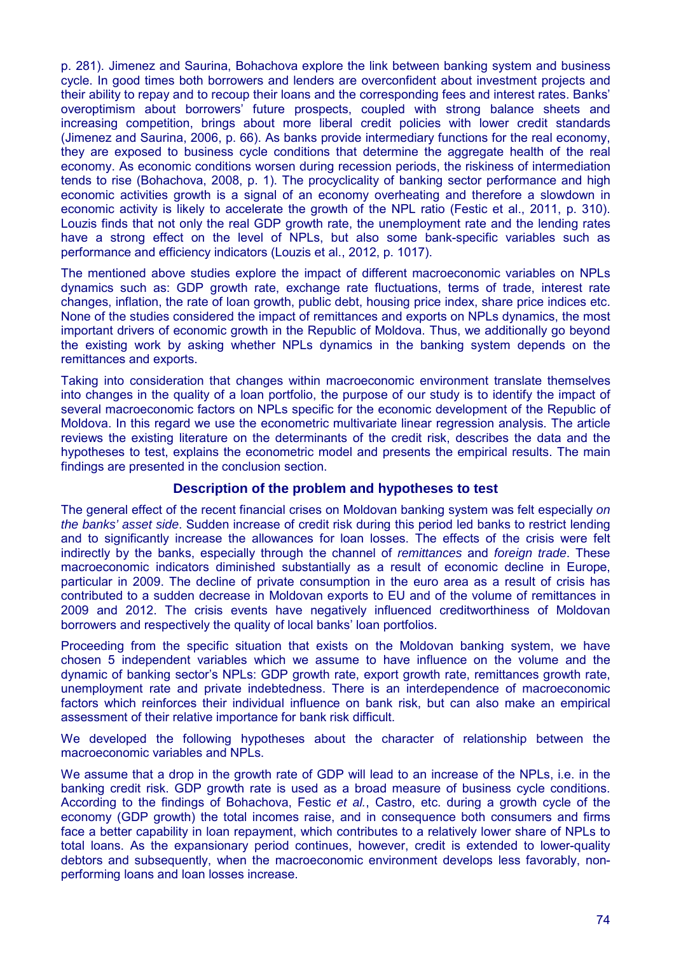p. 281). Jimenez and Saurina, Bohachova explore the link between banking system and business cycle. In good times both borrowers and lenders are overconfident about investment projects and their ability to repay and to recoup their loans and the corresponding fees and interest rates. Banks' overoptimism about borrowers' future prospects, coupled with strong balance sheets and increasing competition, brings about more liberal credit policies with lower credit standards (Jimenez and Saurina, 2006, p. 66). As banks provide intermediary functions for the real economy, they are exposed to business cycle conditions that determine the aggregate health of the real economy. As economic conditions worsen during recession periods, the riskiness of intermediation tends to rise (Bohachova, 2008, p. 1). The procyclicality of banking sector performance and high economic activities growth is a signal of an economy overheating and therefore a slowdown in economic activity is likely to accelerate the growth of the NPL ratio (Festic et al., 2011, p. 310). Louzis finds that not only the real GDP growth rate, the unemployment rate and the lending rates have a strong effect on the level of NPLs, but also some bank-specific variables such as performance and efficiency indicators (Louzis et al., 2012, p. 1017).

The mentioned above studies explore the impact of different macroeconomic variables on NPLs dynamics such as: GDP growth rate, exchange rate fluctuations, terms of trade, interest rate changes, inflation, the rate of loan growth, public debt, housing price index, share price indices etc. None of the studies considered the impact of remittances and exports on NPLs dynamics, the most important drivers of economic growth in the Republic of Moldova. Thus, we additionally go beyond the existing work by asking whether NPLs dynamics in the banking system depends on the remittances and exports.

Taking into consideration that changes within macroeconomic environment translate themselves into changes in the quality of a loan portfolio, the purpose of our study is to identify the impact of several macroeconomic factors on NPLs specific for the economic development of the Republic of Moldova. In this regard we use the econometric multivariate linear regression analysis. The article reviews the existing literature on the determinants of the credit risk, describes the data and the hypotheses to test, explains the econometric model and presents the empirical results. The main findings are presented in the conclusion section.

# **Description of the problem and hypotheses to test**

The general effect of the recent financial crises on Moldovan banking system was felt especially *on the banks' asset side*. Sudden increase of credit risk during this period led banks to restrict lending and to significantly increase the allowances for loan losses. The effects of the crisis were felt indirectly by the banks, especially through the channel of *remittances* and *foreign trade*. These macroeconomic indicators diminished substantially as a result of economic decline in Europe, particular in 2009. The decline of private consumption in the euro area as a result of crisis has contributed to a sudden decrease in Moldovan exports to EU and of the volume of remittances in 2009 and 2012. The crisis events have negatively influenced creditworthiness of Moldovan borrowers and respectively the quality of local banks' loan portfolios.

Proceeding from the specific situation that exists on the Moldovan banking system, we have chosen 5 independent variables which we assume to have influence on the volume and the dynamic of banking sector's NPLs: GDP growth rate, export growth rate, remittances growth rate, unemployment rate and private indebtedness. There is an interdependence of macroeconomic factors which reinforces their individual influence on bank risk, but can also make an empirical assessment of their relative importance for bank risk difficult.

We developed the following hypotheses about the character of relationship between the macroeconomic variables and NPLs.

We assume that a drop in the growth rate of GDP will lead to an increase of the NPLs, i.e. in the banking credit risk. GDP growth rate is used as a broad measure of business cycle conditions. According to the findings of Bohachova, Festic *et al.*, Castro, etc. during a growth cycle of the economy (GDP growth) the total incomes raise, and in consequence both consumers and firms face a better capability in loan repayment, which contributes to a relatively lower share of NPLs to total loans. As the expansionary period continues, however, credit is extended to lower-quality debtors and subsequently, when the macroeconomic environment develops less favorably, nonperforming loans and loan losses increase.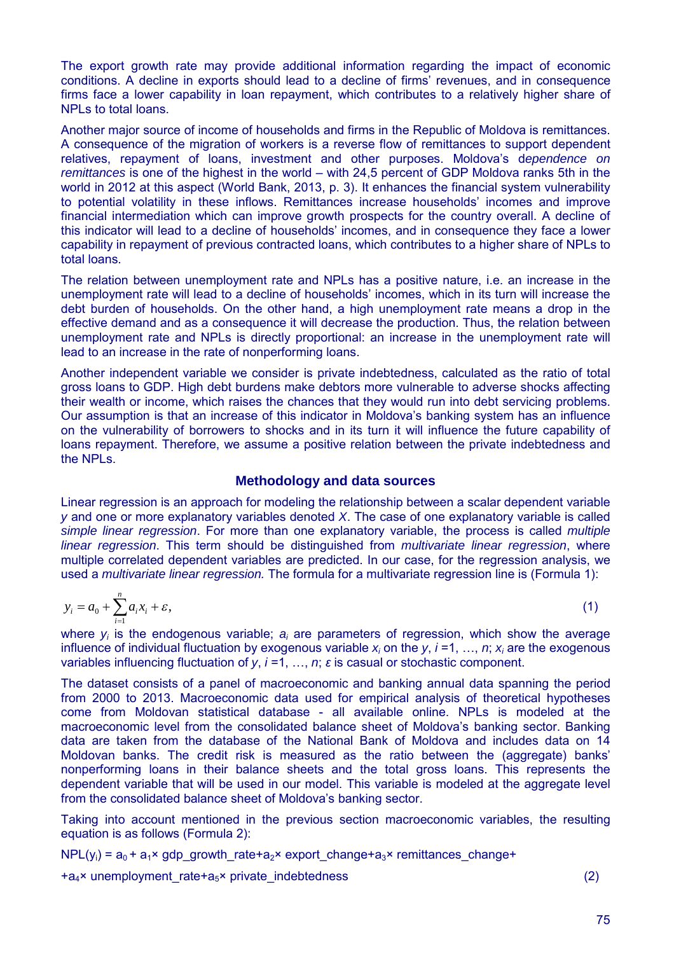The export growth rate may provide additional information regarding the impact of economic conditions. A decline in exports should lead to a decline of firms' revenues, and in consequence firms face a lower capability in loan repayment, which contributes to a relatively higher share of NPLs to total loans.

Another major source of income of households and firms in the Republic of Moldova is remittances. A consequence of the migration of workers is a reverse flow of remittances to support dependent relatives, repayment of loans, investment and other purposes. Moldova's d*ependence on remittances* is one of the highest in the world – with 24,5 percent of GDP Moldova ranks 5th in the world in 2012 at this aspect (World Bank, 2013, p. 3). It enhances the financial system vulnerability to potential volatility in these inflows. Remittances increase households' incomes and improve financial intermediation which can improve growth prospects for the country overall. A decline of this indicator will lead to a decline of households' incomes, and in consequence they face a lower capability in repayment of previous contracted loans, which contributes to a higher share of NPLs to total loans.

The relation between unemployment rate and NPLs has a positive nature, i.e. an increase in the unemployment rate will lead to a decline of households' incomes, which in its turn will increase the debt burden of households. On the other hand, a high unemployment rate means a drop in the effective demand and as a consequence it will decrease the production. Thus, the relation between unemployment rate and NPLs is directly proportional: an increase in the unemployment rate will lead to an increase in the rate of nonperforming loans.

Another independent variable we consider is private indebtedness, calculated as the ratio of total gross loans to GDP. High debt burdens make debtors more vulnerable to adverse shocks affecting their wealth or income, which raises the chances that they would run into debt servicing problems. Our assumption is that an increase of this indicator in Moldova's banking system has an influence on the vulnerability of borrowers to shocks and in its turn it will influence the future capability of loans repayment. Therefore, we assume a positive relation between the private indebtedness and the NPLs.

#### **Methodology and data sources**

Linear regression is an approach for modeling the relationship between a scalar dependent variable *y* and one or more explanatory variables denoted *X*. The case of one explanatory variable is called *simple linear regression*. For more than one explanatory variable, the process is called *multiple linear regression*. This term should be distinguished from *multivariate linear regression*, where multiple correlated dependent variables are predicted. In our case, for the regression analysis, we used a *multivariate linear regression.* The formula for a multivariate regression line is (Formula 1):

$$
y_i = a_0 + \sum_{i=1}^n a_i x_i + \varepsilon,\tag{1}
$$

where  $y_i$  is the endogenous variable;  $a_i$  are parameters of regression, which show the average influence of individual fluctuation by exogenous variable  $x_i$  on the y, *i*=1, …, *n*;  $x_i$  are the exogenous variables influencing fluctuation of  $y$ ,  $i = 1, ..., n$ ;  $\varepsilon$  is casual or stochastic component.

The dataset consists of a panel of macroeconomic and banking annual data spanning the period from 2000 to 2013. Macroeconomic data used for empirical analysis of theoretical hypotheses come from Moldovan statistical database - all available online. NPLs is modeled at the macroeconomic level from the consolidated balance sheet of Moldova's banking sector. Banking data are taken from the database of the National Bank of Moldova and includes data on 14 Moldovan banks. The credit risk is measured as the ratio between the (aggregate) banks' nonperforming loans in their balance sheets and the total gross loans. This represents the dependent variable that will be used in our model. This variable is modeled at the aggregate level from the consolidated balance sheet of Moldova's banking sector.

Taking into account mentioned in the previous section macroeconomic variables, the resulting equation is as follows (Formula 2):

 $NPL(y_i) = a_0 + a_1 \times qdp$  growth rate+a<sub>2</sub>× export change+a<sub>3</sub>× remittances change+

 $+a_4 \times$  unemployment rate+a<sub>5</sub>× private indebtedness (2)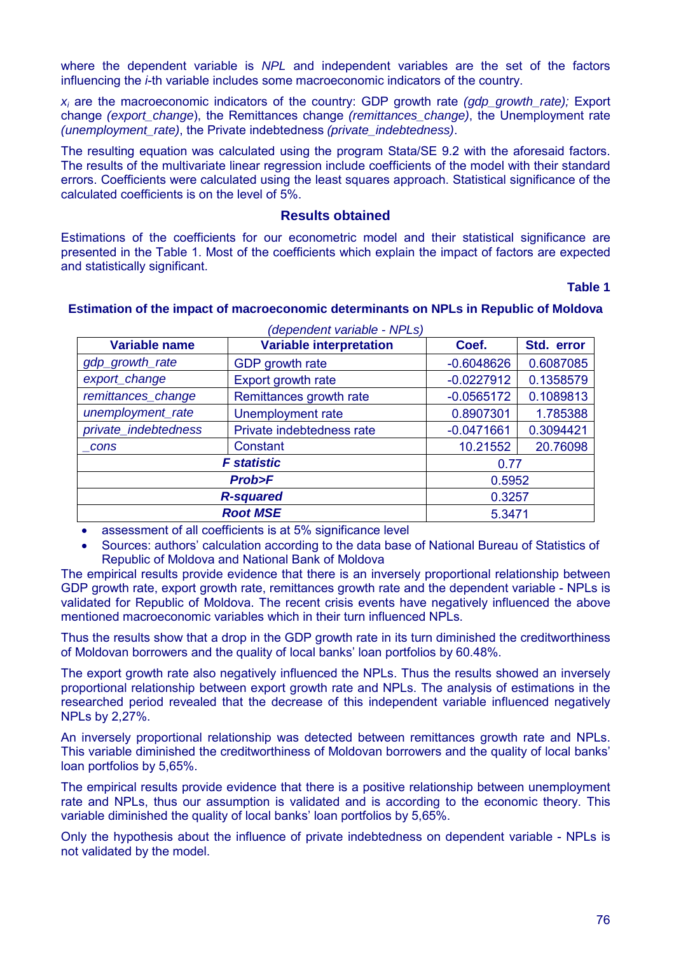where the dependent variable is *NPL* and independent variables are the set of the factors influencing the *i*-th variable includes some macroeconomic indicators of the country.

*xi* are the macroeconomic indicators of the country: GDP growth rate *(gdp\_growth\_rate);* Export change *(export\_change*), the Remittances change *(remittances\_change)*, the Unemployment rate *(unemployment\_rate)*, the Private indebtedness *(private\_indebtedness)*.

The resulting equation was calculated using the program Stata/SE 9.2 with the aforesaid factors. The results of the multivariate linear regression include coefficients of the model with their standard errors. Coefficients were calculated using the least squares approach. Statistical significance of the calculated coefficients is on the level of 5%.

### **Results obtained**

Estimations of the coefficients for our econometric model and their statistical significance are presented in the Table 1. Most of the coefficients which explain the impact of factors are expected and statistically significant.

#### **Table 1**

### **Estimation of the impact of macroeconomic determinants on NPLs in Republic of Moldova**

| <b>Variable name</b> | <b>Variable interpretation</b> | Coef.        | Std. error |
|----------------------|--------------------------------|--------------|------------|
| gdp_growth_rate      | GDP growth rate                | $-0.6048626$ | 0.6087085  |
| export_change        | Export growth rate             | $-0.0227912$ | 0.1358579  |
| remittances_change   | Remittances growth rate        | $-0.0565172$ | 0.1089813  |
| unemployment_rate    | Unemployment rate              | 0.8907301    | 1.785388   |
| private_indebtedness | Private indebtedness rate      | $-0.0471661$ | 0.3094421  |
| cons                 | Constant                       | 10.21552     | 20.76098   |
| <b>F</b> statistic   |                                | 0.77         |            |
| <b>Prob&gt;F</b>     |                                | 0.5952       |            |
| <b>R-squared</b>     |                                | 0.3257       |            |
| <b>Root MSE</b>      |                                | 5.3471       |            |

assessment of all coefficients is at 5% significance level

 Sources: authors' calculation according to the data base of National Bureau of Statistics of Republic of Moldova and National Bank of Moldova

The empirical results provide evidence that there is an inversely proportional relationship between GDP growth rate, export growth rate, remittances growth rate and the dependent variable - NPLs is validated for Republic of Moldova. The recent crisis events have negatively influenced the above mentioned macroeconomic variables which in their turn influenced NPLs.

Thus the results show that a drop in the GDP growth rate in its turn diminished the creditworthiness of Moldovan borrowers and the quality of local banks' loan portfolios by 60.48%.

The export growth rate also negatively influenced the NPLs. Thus the results showed an inversely proportional relationship between export growth rate and NPLs. The analysis of estimations in the researched period revealed that the decrease of this independent variable influenced negatively NPLs by 2,27%.

An inversely proportional relationship was detected between remittances growth rate and NPLs. This variable diminished the creditworthiness of Moldovan borrowers and the quality of local banks' loan portfolios by 5,65%.

The empirical results provide evidence that there is a positive relationship between unemployment rate and NPLs, thus our assumption is validated and is according to the economic theory. This variable diminished the quality of local banks' loan portfolios by 5,65%.

Only the hypothesis about the influence of private indebtedness on dependent variable - NPLs is not validated by the model.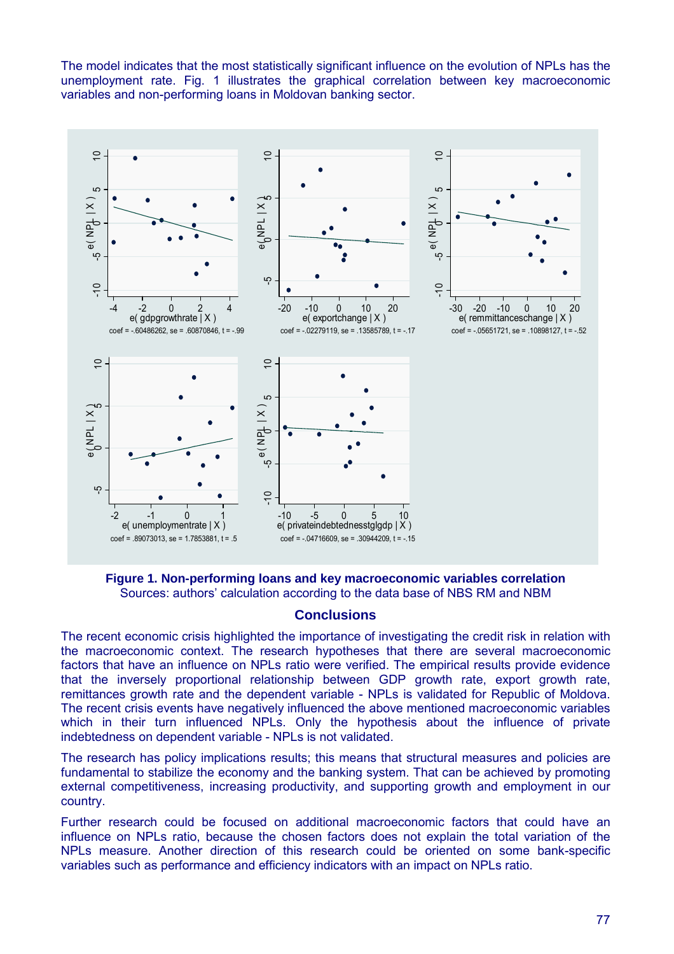The model indicates that the most statistically significant influence on the evolution of NPLs has the unemployment rate. Fig. 1 illustrates the graphical correlation between key macroeconomic variables and non-performing loans in Moldovan banking sector.



**Figure 1. Non-performing loans and key macroeconomic variables correlation** Sources: authors' calculation according to the data base of NBS RM and NBM

# **Conclusions**

The recent economic crisis highlighted the importance of investigating the credit risk in relation with the macroeconomic context. The research hypotheses that there are several macroeconomic factors that have an influence on NPLs ratio were verified. The empirical results provide evidence that the inversely proportional relationship between GDP growth rate, export growth rate, remittances growth rate and the dependent variable - NPLs is validated for Republic of Moldova. The recent crisis events have negatively influenced the above mentioned macroeconomic variables which in their turn influenced NPLs. Only the hypothesis about the influence of private indebtedness on dependent variable - NPLs is not validated.

The research has policy implications results; this means that structural measures and policies are fundamental to stabilize the economy and the banking system. That can be achieved by promoting external competitiveness, increasing productivity, and supporting growth and employment in our country.

Further research could be focused on additional macroeconomic factors that could have an influence on NPLs ratio, because the chosen factors does not explain the total variation of the NPLs measure. Another direction of this research could be oriented on some bank-specific variables such as performance and efficiency indicators with an impact on NPLs ratio.